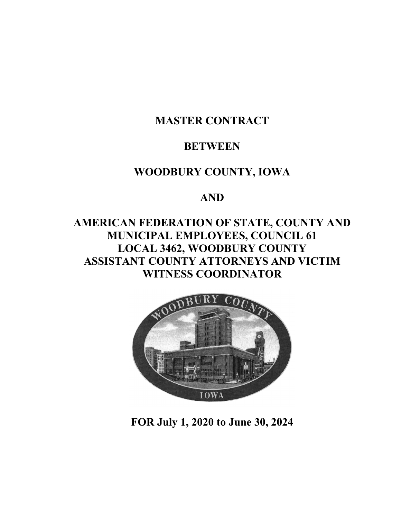# **MASTER CONTRACT**

# **BETWEEN**

# **WOODBURY COUNTY, IOWA**

# **AND**

# **AMERICAN FEDERATION OF STATE, COUNTY AND MUNICIPAL EMPLOYEES, COUNCIL 61 LOCAL 3462, WOODBURY COUNTY ASSISTANT COUNTY ATTORNEYS AND VICTIM WITNESS COORDINATOR**



**FOR July 1, 2020 to June 30, 2024**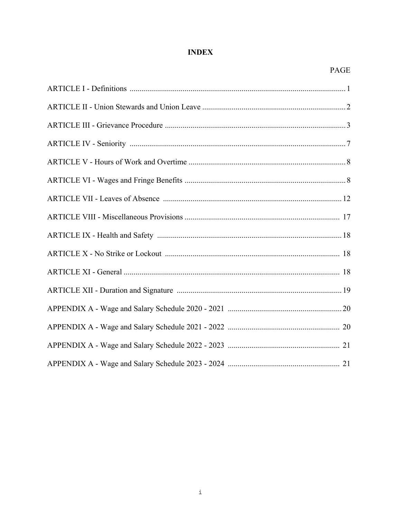# **INDEX**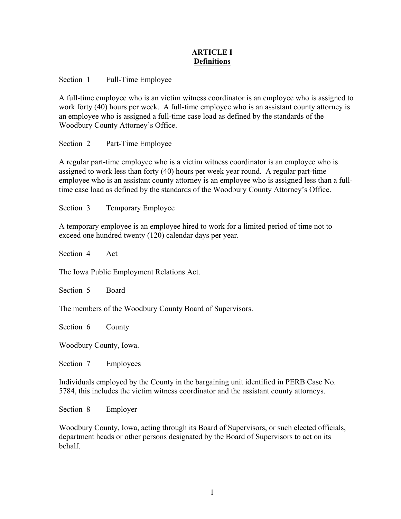# **ARTICLE I Definitions**

Section 1 Full-Time Employee

A full-time employee who is an victim witness coordinator is an employee who is assigned to work forty (40) hours per week. A full-time employee who is an assistant county attorney is an employee who is assigned a full-time case load as defined by the standards of the Woodbury County Attorney's Office.

Section 2 Part-Time Employee

A regular part-time employee who is a victim witness coordinator is an employee who is assigned to work less than forty (40) hours per week year round. A regular part-time employee who is an assistant county attorney is an employee who is assigned less than a fulltime case load as defined by the standards of the Woodbury County Attorney's Office.

Section 3 Temporary Employee

A temporary employee is an employee hired to work for a limited period of time not to exceed one hundred twenty (120) calendar days per year.

Section 4 Act

The Iowa Public Employment Relations Act.

Section 5 Board

The members of the Woodbury County Board of Supervisors.

Section 6 County

Woodbury County, Iowa.

Section 7 Employees

Individuals employed by the County in the bargaining unit identified in PERB Case No. 5784, this includes the victim witness coordinator and the assistant county attorneys.

Section 8 Employer

Woodbury County, Iowa, acting through its Board of Supervisors, or such elected officials, department heads or other persons designated by the Board of Supervisors to act on its behalf.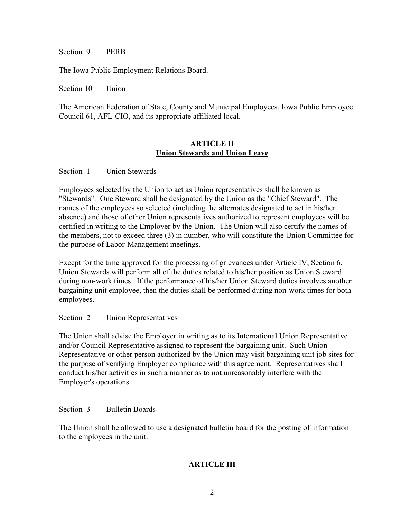Section 9 PERB

The Iowa Public Employment Relations Board.

Section 10 Union

The American Federation of State, County and Municipal Employees, Iowa Public Employee Council 61, AFL-CIO, and its appropriate affiliated local.

#### **ARTICLE II Union Stewards and Union Leave**

Section 1 Union Stewards

Employees selected by the Union to act as Union representatives shall be known as "Stewards". One Steward shall be designated by the Union as the "Chief Steward". The names of the employees so selected (including the alternates designated to act in his/her absence) and those of other Union representatives authorized to represent employees will be certified in writing to the Employer by the Union. The Union will also certify the names of the members, not to exceed three (3) in number, who will constitute the Union Committee for the purpose of Labor-Management meetings.

Except for the time approved for the processing of grievances under Article IV, Section 6, Union Stewards will perform all of the duties related to his/her position as Union Steward during non-work times. If the performance of his/her Union Steward duties involves another bargaining unit employee, then the duties shall be performed during non-work times for both employees.

## Section 2 Union Representatives

The Union shall advise the Employer in writing as to its International Union Representative and/or Council Representative assigned to represent the bargaining unit. Such Union Representative or other person authorized by the Union may visit bargaining unit job sites for the purpose of verifying Employer compliance with this agreement. Representatives shall conduct his/her activities in such a manner as to not unreasonably interfere with the Employer's operations.

Section 3 Bulletin Boards

The Union shall be allowed to use a designated bulletin board for the posting of information to the employees in the unit.

# **ARTICLE III**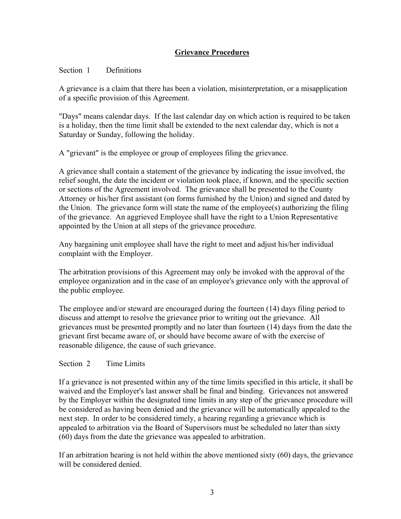# **Grievance Procedures**

# Section 1 Definitions

A grievance is a claim that there has been a violation, misinterpretation, or a misapplication of a specific provision of this Agreement.

"Days" means calendar days. If the last calendar day on which action is required to be taken is a holiday, then the time limit shall be extended to the next calendar day, which is not a Saturday or Sunday, following the holiday.

A "grievant" is the employee or group of employees filing the grievance.

A grievance shall contain a statement of the grievance by indicating the issue involved, the relief sought, the date the incident or violation took place, if known, and the specific section or sections of the Agreement involved. The grievance shall be presented to the County Attorney or his/her first assistant (on forms furnished by the Union) and signed and dated by the Union. The grievance form will state the name of the employee(s) authorizing the filing of the grievance. An aggrieved Employee shall have the right to a Union Representative appointed by the Union at all steps of the grievance procedure.

Any bargaining unit employee shall have the right to meet and adjust his/her individual complaint with the Employer.

The arbitration provisions of this Agreement may only be invoked with the approval of the employee organization and in the case of an employee's grievance only with the approval of the public employee.

The employee and/or steward are encouraged during the fourteen (14) days filing period to discuss and attempt to resolve the grievance prior to writing out the grievance. All grievances must be presented promptly and no later than fourteen (14) days from the date the grievant first became aware of, or should have become aware of with the exercise of reasonable diligence, the cause of such grievance.

# Section 2 Time Limits

If a grievance is not presented within any of the time limits specified in this article, it shall be waived and the Employer's last answer shall be final and binding. Grievances not answered by the Employer within the designated time limits in any step of the grievance procedure will be considered as having been denied and the grievance will be automatically appealed to the next step. In order to be considered timely, a hearing regarding a grievance which is appealed to arbitration via the Board of Supervisors must be scheduled no later than sixty (60) days from the date the grievance was appealed to arbitration.

If an arbitration hearing is not held within the above mentioned sixty (60) days, the grievance will be considered denied.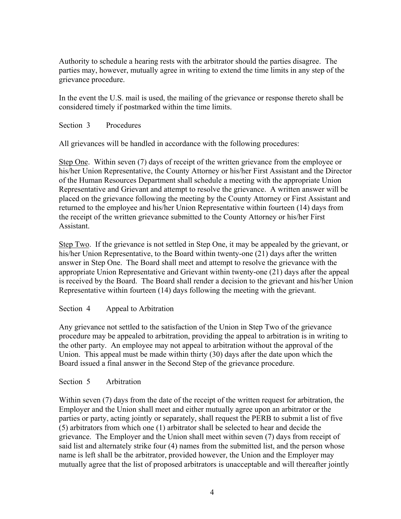Authority to schedule a hearing rests with the arbitrator should the parties disagree. The parties may, however, mutually agree in writing to extend the time limits in any step of the grievance procedure.

In the event the U.S. mail is used, the mailing of the grievance or response thereto shall be considered timely if postmarked within the time limits.

Section 3 Procedures

All grievances will be handled in accordance with the following procedures:

Step One. Within seven (7) days of receipt of the written grievance from the employee or his/her Union Representative, the County Attorney or his/her First Assistant and the Director of the Human Resources Department shall schedule a meeting with the appropriate Union Representative and Grievant and attempt to resolve the grievance. A written answer will be placed on the grievance following the meeting by the County Attorney or First Assistant and returned to the employee and his/her Union Representative within fourteen (14) days from the receipt of the written grievance submitted to the County Attorney or his/her First Assistant.

Step Two. If the grievance is not settled in Step One, it may be appealed by the grievant, or his/her Union Representative, to the Board within twenty-one (21) days after the written answer in Step One. The Board shall meet and attempt to resolve the grievance with the appropriate Union Representative and Grievant within twenty-one (21) days after the appeal is received by the Board. The Board shall render a decision to the grievant and his/her Union Representative within fourteen (14) days following the meeting with the grievant.

# Section 4 Appeal to Arbitration

Any grievance not settled to the satisfaction of the Union in Step Two of the grievance procedure may be appealed to arbitration, providing the appeal to arbitration is in writing to the other party. An employee may not appeal to arbitration without the approval of the Union. This appeal must be made within thirty (30) days after the date upon which the Board issued a final answer in the Second Step of the grievance procedure.

# Section 5 Arbitration

Within seven (7) days from the date of the receipt of the written request for arbitration, the Employer and the Union shall meet and either mutually agree upon an arbitrator or the parties or party, acting jointly or separately, shall request the PERB to submit a list of five (5) arbitrators from which one (1) arbitrator shall be selected to hear and decide the grievance. The Employer and the Union shall meet within seven (7) days from receipt of said list and alternately strike four (4) names from the submitted list, and the person whose name is left shall be the arbitrator, provided however, the Union and the Employer may mutually agree that the list of proposed arbitrators is unacceptable and will thereafter jointly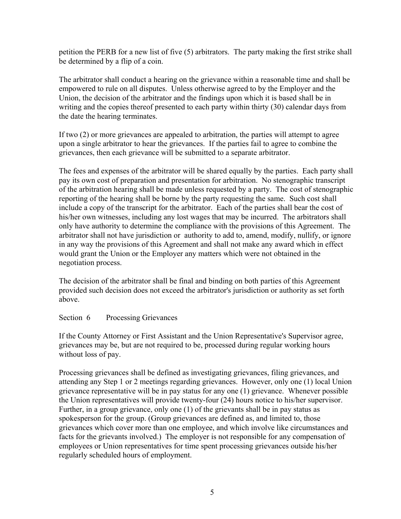petition the PERB for a new list of five (5) arbitrators. The party making the first strike shall be determined by a flip of a coin.

The arbitrator shall conduct a hearing on the grievance within a reasonable time and shall be empowered to rule on all disputes. Unless otherwise agreed to by the Employer and the Union, the decision of the arbitrator and the findings upon which it is based shall be in writing and the copies thereof presented to each party within thirty (30) calendar days from the date the hearing terminates.

If two (2) or more grievances are appealed to arbitration, the parties will attempt to agree upon a single arbitrator to hear the grievances. If the parties fail to agree to combine the grievances, then each grievance will be submitted to a separate arbitrator.

The fees and expenses of the arbitrator will be shared equally by the parties. Each party shall pay its own cost of preparation and presentation for arbitration. No stenographic transcript of the arbitration hearing shall be made unless requested by a party. The cost of stenographic reporting of the hearing shall be borne by the party requesting the same. Such cost shall include a copy of the transcript for the arbitrator. Each of the parties shall bear the cost of his/her own witnesses, including any lost wages that may be incurred. The arbitrators shall only have authority to determine the compliance with the provisions of this Agreement. The arbitrator shall not have jurisdiction or authority to add to, amend, modify, nullify, or ignore in any way the provisions of this Agreement and shall not make any award which in effect would grant the Union or the Employer any matters which were not obtained in the negotiation process.

The decision of the arbitrator shall be final and binding on both parties of this Agreement provided such decision does not exceed the arbitrator's jurisdiction or authority as set forth above.

## Section 6 Processing Grievances

If the County Attorney or First Assistant and the Union Representative's Supervisor agree, grievances may be, but are not required to be, processed during regular working hours without loss of pay.

Processing grievances shall be defined as investigating grievances, filing grievances, and attending any Step 1 or 2 meetings regarding grievances. However, only one (1) local Union grievance representative will be in pay status for any one (1) grievance. Whenever possible the Union representatives will provide twenty-four (24) hours notice to his/her supervisor. Further, in a group grievance, only one (1) of the grievants shall be in pay status as spokesperson for the group. (Group grievances are defined as, and limited to, those grievances which cover more than one employee, and which involve like circumstances and facts for the grievants involved.) The employer is not responsible for any compensation of employees or Union representatives for time spent processing grievances outside his/her regularly scheduled hours of employment.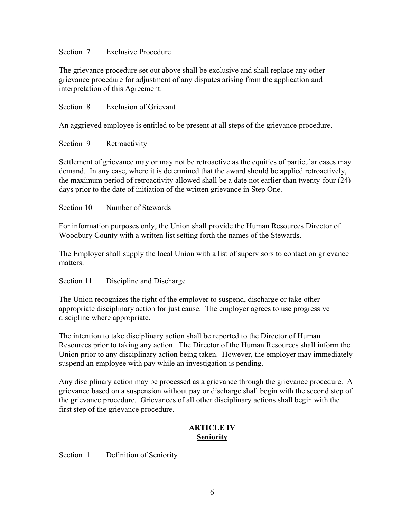## Section 7 Exclusive Procedure

The grievance procedure set out above shall be exclusive and shall replace any other grievance procedure for adjustment of any disputes arising from the application and interpretation of this Agreement.

Section 8 Exclusion of Grievant

An aggrieved employee is entitled to be present at all steps of the grievance procedure.

Section 9 Retroactivity

Settlement of grievance may or may not be retroactive as the equities of particular cases may demand. In any case, where it is determined that the award should be applied retroactively, the maximum period of retroactivity allowed shall be a date not earlier than twenty-four (24) days prior to the date of initiation of the written grievance in Step One.

Section 10 Number of Stewards

For information purposes only, the Union shall provide the Human Resources Director of Woodbury County with a written list setting forth the names of the Stewards.

The Employer shall supply the local Union with a list of supervisors to contact on grievance matters.

Section 11 Discipline and Discharge

The Union recognizes the right of the employer to suspend, discharge or take other appropriate disciplinary action for just cause. The employer agrees to use progressive discipline where appropriate.

The intention to take disciplinary action shall be reported to the Director of Human Resources prior to taking any action. The Director of the Human Resources shall inform the Union prior to any disciplinary action being taken. However, the employer may immediately suspend an employee with pay while an investigation is pending.

Any disciplinary action may be processed as a grievance through the grievance procedure. A grievance based on a suspension without pay or discharge shall begin with the second step of the grievance procedure. Grievances of all other disciplinary actions shall begin with the first step of the grievance procedure.

## **ARTICLE IV Seniority**

Section 1 Definition of Seniority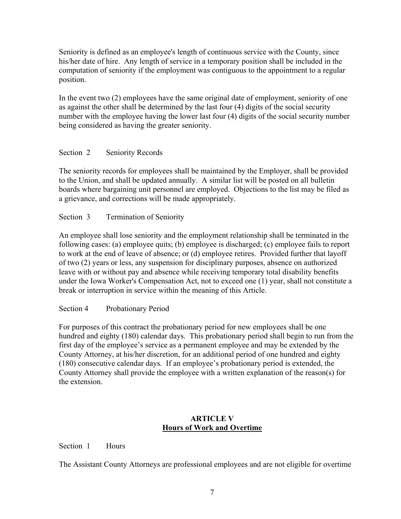Seniority is defined as an employee's length of continuous service with the County, since his/her date of hire. Any length of service in a temporary position shall be included in the computation of seniority if the employment was contiguous to the appointment to a regular position.

In the event two (2) employees have the same original date of employment, seniority of one as against the other shall be determined by the last four (4) digits of the social security number with the employee having the lower last four (4) digits of the social security number being considered as having the greater seniority.

# Section 2 Seniority Records

The seniority records for employees shall be maintained by the Employer, shall be provided to the Union, and shall be updated annually. A similar list will be posted on all bulletin boards where bargaining unit personnel are employed. Objections to the list may be filed as a grievance, and corrections will be made appropriately.

Section 3 Termination of Seniority

An employee shall lose seniority and the employment relationship shall be terminated in the following cases: (a) employee quits; (b) employee is discharged; (c) employee fails to report to work at the end of leave of absence; or (d) employee retires. Provided further that layoff of two (2) years or less, any suspension for disciplinary purposes, absence on authorized leave with or without pay and absence while receiving temporary total disability benefits under the Iowa Worker's Compensation Act, not to exceed one (1) year, shall not constitute a break or interruption in service within the meaning of this Article.

Section 4 Probationary Period

For purposes of this contract the probationary period for new employees shall be one hundred and eighty (180) calendar days. This probationary period shall begin to run from the first day of the employee's service as a permanent employee and may be extended by the County Attorney, at his/her discretion, for an additional period of one hundred and eighty (180) consecutive calendar days. If an employee's probationary period is extended, the County Attorney shall provide the employee with a written explanation of the reason(s) for the extension.

# **ARTICLE V Hours of Work and Overtime**

Section 1 Hours

The Assistant County Attorneys are professional employees and are not eligible for overtime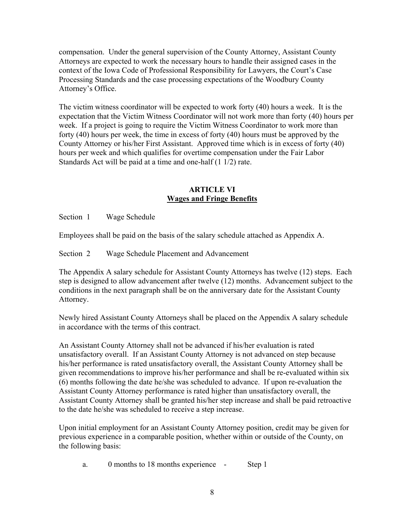compensation. Under the general supervision of the County Attorney, Assistant County Attorneys are expected to work the necessary hours to handle their assigned cases in the context of the Iowa Code of Professional Responsibility for Lawyers, the Court's Case Processing Standards and the case processing expectations of the Woodbury County Attorney's Office.

The victim witness coordinator will be expected to work forty (40) hours a week. It is the expectation that the Victim Witness Coordinator will not work more than forty (40) hours per week. If a project is going to require the Victim Witness Coordinator to work more than forty (40) hours per week, the time in excess of forty (40) hours must be approved by the County Attorney or his/her First Assistant. Approved time which is in excess of forty (40) hours per week and which qualifies for overtime compensation under the Fair Labor Standards Act will be paid at a time and one-half (1 1/2) rate.

# **ARTICLE VI Wages and Fringe Benefits**

Section 1 Wage Schedule

Employees shall be paid on the basis of the salary schedule attached as Appendix A.

Section 2 Wage Schedule Placement and Advancement

The Appendix A salary schedule for Assistant County Attorneys has twelve (12) steps. Each step is designed to allow advancement after twelve (12) months. Advancement subject to the conditions in the next paragraph shall be on the anniversary date for the Assistant County Attorney.

Newly hired Assistant County Attorneys shall be placed on the Appendix A salary schedule in accordance with the terms of this contract.

An Assistant County Attorney shall not be advanced if his/her evaluation is rated unsatisfactory overall. If an Assistant County Attorney is not advanced on step because his/her performance is rated unsatisfactory overall, the Assistant County Attorney shall be given recommendations to improve his/her performance and shall be re-evaluated within six (6) months following the date he/she was scheduled to advance. If upon re-evaluation the Assistant County Attorney performance is rated higher than unsatisfactory overall, the Assistant County Attorney shall be granted his/her step increase and shall be paid retroactive to the date he/she was scheduled to receive a step increase.

Upon initial employment for an Assistant County Attorney position, credit may be given for previous experience in a comparable position, whether within or outside of the County, on the following basis:

a. 0 months to 18 months experience - Step 1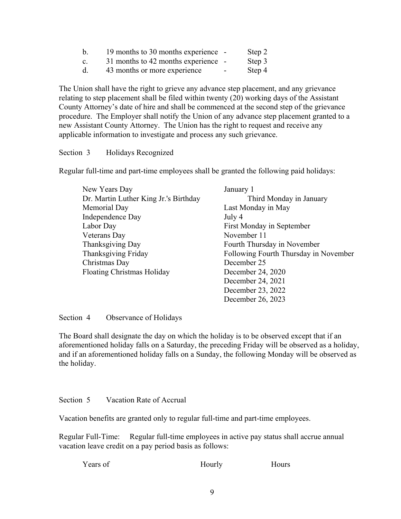| $\mathbf b$    | 19 months to 30 months experience - |                          | Step 2 |
|----------------|-------------------------------------|--------------------------|--------|
| $\mathbf{c}$ . | 31 months to 42 months experience - |                          | Step 3 |
| d.             | 43 months or more experience        | $\overline{\phantom{a}}$ | Step 4 |

The Union shall have the right to grieve any advance step placement, and any grievance relating to step placement shall be filed within twenty (20) working days of the Assistant County Attorney's date of hire and shall be commenced at the second step of the grievance procedure. The Employer shall notify the Union of any advance step placement granted to a new Assistant County Attorney. The Union has the right to request and receive any applicable information to investigate and process any such grievance.

Section 3 Holidays Recognized

Regular full-time and part-time employees shall be granted the following paid holidays:

| New Years Day                         | January 1                             |
|---------------------------------------|---------------------------------------|
| Dr. Martin Luther King Jr.'s Birthday | Third Monday in January               |
| Memorial Day                          | Last Monday in May                    |
| Independence Day                      | July 4                                |
| Labor Day                             | First Monday in September             |
| <b>Veterans</b> Day                   | November 11                           |
| Thanksgiving Day                      | Fourth Thursday in November           |
| Thanksgiving Friday                   | Following Fourth Thursday in November |
| Christmas Day                         | December 25                           |
| <b>Floating Christmas Holiday</b>     | December 24, 2020                     |
|                                       | December 24, 2021                     |
|                                       | December 23, 2022                     |
|                                       | December 26, 2023                     |

Section 4 Observance of Holidays

The Board shall designate the day on which the holiday is to be observed except that if an aforementioned holiday falls on a Saturday, the preceding Friday will be observed as a holiday, and if an aforementioned holiday falls on a Sunday, the following Monday will be observed as the holiday.

Section 5 Vacation Rate of Accrual

Vacation benefits are granted only to regular full-time and part-time employees.

Regular Full-Time: Regular full-time employees in active pay status shall accrue annual vacation leave credit on a pay period basis as follows:

| Years of | Hourly | <b>Hours</b> |
|----------|--------|--------------|
|          |        |              |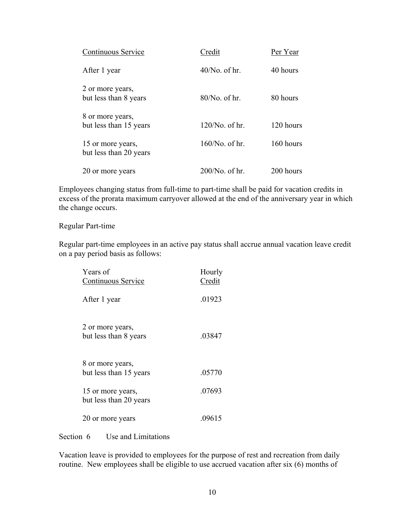| Continuous Service                          | Credit            | Per Year  |
|---------------------------------------------|-------------------|-----------|
| After 1 year                                | $40/No$ of hr.    | 40 hours  |
| 2 or more years,<br>but less than 8 years   | $80/No$ . of hr.  | 80 hours  |
| 8 or more years,<br>but less than 15 years  | $120/N0$ of hr.   | 120 hours |
| 15 or more years,<br>but less than 20 years | $160/No$ of hr.   | 160 hours |
| 20 or more years                            | $200/No$ . of hr. | 200 hours |

Employees changing status from full-time to part-time shall be paid for vacation credits in excess of the prorata maximum carryover allowed at the end of the anniversary year in which the change occurs.

#### Regular Part-time

Regular part-time employees in an active pay status shall accrue annual vacation leave credit on a pay period basis as follows:

| Years of<br>Continuous Service              | Hourly<br>Credit |
|---------------------------------------------|------------------|
| After 1 year                                | .01923           |
| 2 or more years,<br>but less than 8 years   | .03847           |
| 8 or more years,<br>but less than 15 years  | .05770           |
| 15 or more years,<br>but less than 20 years | .07693           |
| 20 or more years                            | .09615           |

Section 6 Use and Limitations

Vacation leave is provided to employees for the purpose of rest and recreation from daily routine. New employees shall be eligible to use accrued vacation after six (6) months of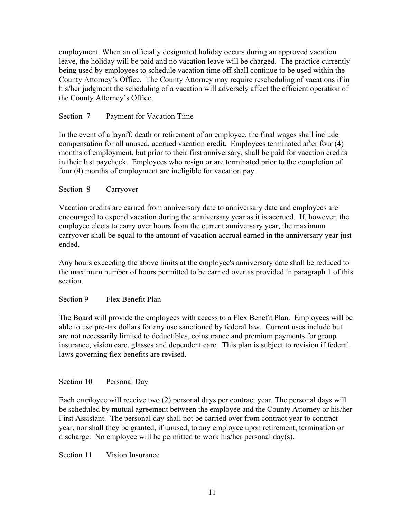employment. When an officially designated holiday occurs during an approved vacation leave, the holiday will be paid and no vacation leave will be charged. The practice currently being used by employees to schedule vacation time off shall continue to be used within the County Attorney's Office. The County Attorney may require rescheduling of vacations if in his/her judgment the scheduling of a vacation will adversely affect the efficient operation of the County Attorney's Office.

# Section 7 Payment for Vacation Time

In the event of a layoff, death or retirement of an employee, the final wages shall include compensation for all unused, accrued vacation credit. Employees terminated after four (4) months of employment, but prior to their first anniversary, shall be paid for vacation credits in their last paycheck. Employees who resign or are terminated prior to the completion of four (4) months of employment are ineligible for vacation pay.

## Section 8 Carryover

Vacation credits are earned from anniversary date to anniversary date and employees are encouraged to expend vacation during the anniversary year as it is accrued. If, however, the employee elects to carry over hours from the current anniversary year, the maximum carryover shall be equal to the amount of vacation accrual earned in the anniversary year just ended.

Any hours exceeding the above limits at the employee's anniversary date shall be reduced to the maximum number of hours permitted to be carried over as provided in paragraph 1 of this section.

## Section 9 Flex Benefit Plan

The Board will provide the employees with access to a Flex Benefit Plan. Employees will be able to use pre-tax dollars for any use sanctioned by federal law. Current uses include but are not necessarily limited to deductibles, coinsurance and premium payments for group insurance, vision care, glasses and dependent care. This plan is subject to revision if federal laws governing flex benefits are revised.

## Section 10 Personal Day

Each employee will receive two (2) personal days per contract year. The personal days will be scheduled by mutual agreement between the employee and the County Attorney or his/her First Assistant. The personal day shall not be carried over from contract year to contract year, nor shall they be granted, if unused, to any employee upon retirement, termination or discharge. No employee will be permitted to work his/her personal day(s).

Section 11 Vision Insurance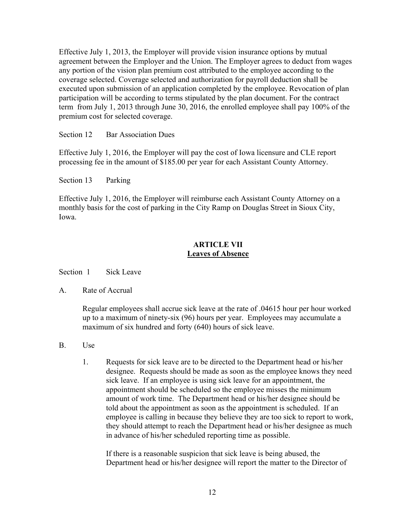Effective July 1, 2013, the Employer will provide vision insurance options by mutual agreement between the Employer and the Union. The Employer agrees to deduct from wages any portion of the vision plan premium cost attributed to the employee according to the coverage selected. Coverage selected and authorization for payroll deduction shall be executed upon submission of an application completed by the employee. Revocation of plan participation will be according to terms stipulated by the plan document. For the contract term from July 1, 2013 through June 30, 2016, the enrolled employee shall pay 100% of the premium cost for selected coverage.

Section 12 Bar Association Dues

Effective July 1, 2016, the Employer will pay the cost of Iowa licensure and CLE report processing fee in the amount of \$185.00 per year for each Assistant County Attorney.

Section 13 Parking

Effective July 1, 2016, the Employer will reimburse each Assistant County Attorney on a monthly basis for the cost of parking in the City Ramp on Douglas Street in Sioux City, Iowa.

# **ARTICLE VII Leaves of Absence**

Section 1 Sick Leave

A. Rate of Accrual

Regular employees shall accrue sick leave at the rate of .04615 hour per hour worked up to a maximum of ninety-six (96) hours per year. Employees may accumulate a maximum of six hundred and forty (640) hours of sick leave.

- B. Use
	- 1. Requests for sick leave are to be directed to the Department head or his/her designee. Requests should be made as soon as the employee knows they need sick leave. If an employee is using sick leave for an appointment, the appointment should be scheduled so the employee misses the minimum amount of work time. The Department head or his/her designee should be told about the appointment as soon as the appointment is scheduled. If an employee is calling in because they believe they are too sick to report to work, they should attempt to reach the Department head or his/her designee as much in advance of his/her scheduled reporting time as possible.

If there is a reasonable suspicion that sick leave is being abused, the Department head or his/her designee will report the matter to the Director of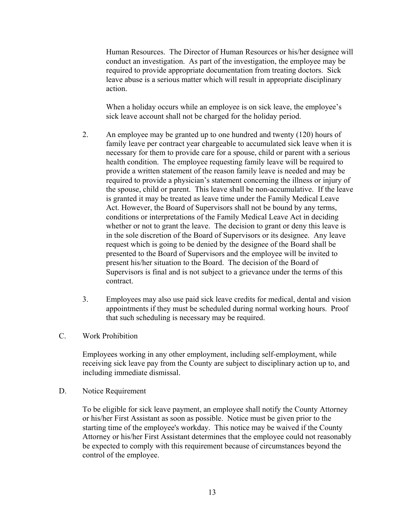Human Resources. The Director of Human Resources or his/her designee will conduct an investigation. As part of the investigation, the employee may be required to provide appropriate documentation from treating doctors. Sick leave abuse is a serious matter which will result in appropriate disciplinary action.

When a holiday occurs while an employee is on sick leave, the employee's sick leave account shall not be charged for the holiday period.

- 2. An employee may be granted up to one hundred and twenty (120) hours of family leave per contract year chargeable to accumulated sick leave when it is necessary for them to provide care for a spouse, child or parent with a serious health condition. The employee requesting family leave will be required to provide a written statement of the reason family leave is needed and may be required to provide a physician's statement concerning the illness or injury of the spouse, child or parent. This leave shall be non-accumulative. If the leave is granted it may be treated as leave time under the Family Medical Leave Act. However, the Board of Supervisors shall not be bound by any terms, conditions or interpretations of the Family Medical Leave Act in deciding whether or not to grant the leave. The decision to grant or deny this leave is in the sole discretion of the Board of Supervisors or its designee. Any leave request which is going to be denied by the designee of the Board shall be presented to the Board of Supervisors and the employee will be invited to present his/her situation to the Board. The decision of the Board of Supervisors is final and is not subject to a grievance under the terms of this contract.
- 3. Employees may also use paid sick leave credits for medical, dental and vision appointments if they must be scheduled during normal working hours. Proof that such scheduling is necessary may be required.
- C. Work Prohibition

Employees working in any other employment, including self-employment, while receiving sick leave pay from the County are subject to disciplinary action up to, and including immediate dismissal.

D. Notice Requirement

To be eligible for sick leave payment, an employee shall notify the County Attorney or his/her First Assistant as soon as possible. Notice must be given prior to the starting time of the employee's workday. This notice may be waived if the County Attorney or his/her First Assistant determines that the employee could not reasonably be expected to comply with this requirement because of circumstances beyond the control of the employee.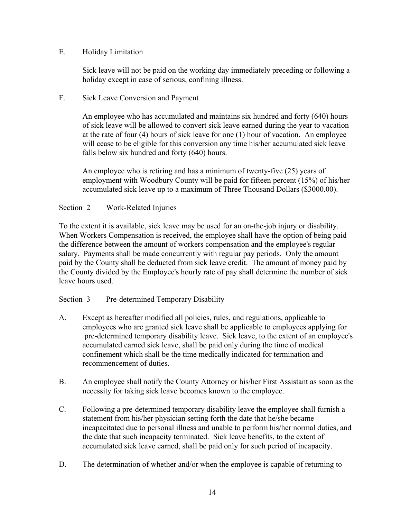# E. Holiday Limitation

Sick leave will not be paid on the working day immediately preceding or following a holiday except in case of serious, confining illness.

# F. Sick Leave Conversion and Payment

An employee who has accumulated and maintains six hundred and forty (640) hours of sick leave will be allowed to convert sick leave earned during the year to vacation at the rate of four (4) hours of sick leave for one (1) hour of vacation. An employee will cease to be eligible for this conversion any time his/her accumulated sick leave falls below six hundred and forty (640) hours.

An employee who is retiring and has a minimum of twenty-five (25) years of employment with Woodbury County will be paid for fifteen percent (15%) of his/her accumulated sick leave up to a maximum of Three Thousand Dollars (\$3000.00).

# Section 2 Work-Related Injuries

To the extent it is available, sick leave may be used for an on-the-job injury or disability. When Workers Compensation is received, the employee shall have the option of being paid the difference between the amount of workers compensation and the employee's regular salary. Payments shall be made concurrently with regular pay periods. Only the amount paid by the County shall be deducted from sick leave credit. The amount of money paid by the County divided by the Employee's hourly rate of pay shall determine the number of sick leave hours used.

# Section 3 Pre-determined Temporary Disability

- A. Except as hereafter modified all policies, rules, and regulations, applicable to employees who are granted sick leave shall be applicable to employees applying for pre-determined temporary disability leave. Sick leave, to the extent of an employee's accumulated earned sick leave, shall be paid only during the time of medical confinement which shall be the time medically indicated for termination and recommencement of duties.
- B. An employee shall notify the County Attorney or his/her First Assistant as soon as the necessity for taking sick leave becomes known to the employee.
- C. Following a pre-determined temporary disability leave the employee shall furnish a statement from his/her physician setting forth the date that he/she became incapacitated due to personal illness and unable to perform his/her normal duties, and the date that such incapacity terminated. Sick leave benefits, to the extent of accumulated sick leave earned, shall be paid only for such period of incapacity.
- D. The determination of whether and/or when the employee is capable of returning to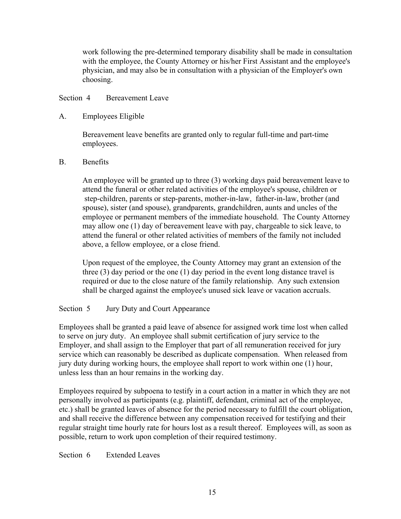work following the pre-determined temporary disability shall be made in consultation with the employee, the County Attorney or his/her First Assistant and the employee's physician, and may also be in consultation with a physician of the Employer's own choosing.

## Section 4 Bereavement Leave

## A. Employees Eligible

Bereavement leave benefits are granted only to regular full-time and part-time employees.

## B. Benefits

An employee will be granted up to three (3) working days paid bereavement leave to attend the funeral or other related activities of the employee's spouse, children or step-children, parents or step-parents, mother-in-law, father-in-law, brother (and spouse), sister (and spouse), grandparents, grandchildren, aunts and uncles of the employee or permanent members of the immediate household. The County Attorney may allow one (1) day of bereavement leave with pay, chargeable to sick leave, to attend the funeral or other related activities of members of the family not included above, a fellow employee, or a close friend.

Upon request of the employee, the County Attorney may grant an extension of the three (3) day period or the one (1) day period in the event long distance travel is required or due to the close nature of the family relationship. Any such extension shall be charged against the employee's unused sick leave or vacation accruals.

# Section 5 Jury Duty and Court Appearance

Employees shall be granted a paid leave of absence for assigned work time lost when called to serve on jury duty. An employee shall submit certification of jury service to the Employer, and shall assign to the Employer that part of all remuneration received for jury service which can reasonably be described as duplicate compensation. When released from jury duty during working hours, the employee shall report to work within one (1) hour, unless less than an hour remains in the working day.

Employees required by subpoena to testify in a court action in a matter in which they are not personally involved as participants (e.g. plaintiff, defendant, criminal act of the employee, etc.) shall be granted leaves of absence for the period necessary to fulfill the court obligation, and shall receive the difference between any compensation received for testifying and their regular straight time hourly rate for hours lost as a result thereof. Employees will, as soon as possible, return to work upon completion of their required testimony.

Section 6 Extended Leaves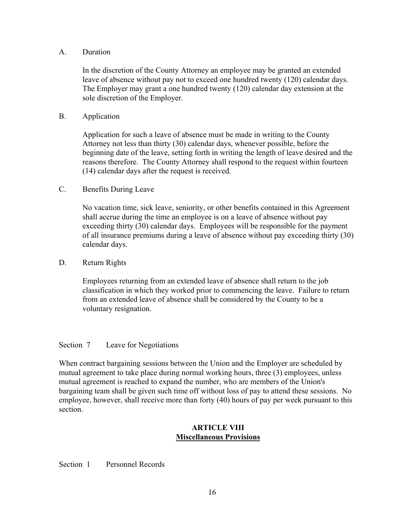## A. Duration

In the discretion of the County Attorney an employee may be granted an extended leave of absence without pay not to exceed one hundred twenty (120) calendar days. The Employer may grant a one hundred twenty (120) calendar day extension at the sole discretion of the Employer.

# B. Application

Application for such a leave of absence must be made in writing to the County Attorney not less than thirty (30) calendar days, whenever possible, before the beginning date of the leave, setting forth in writing the length of leave desired and the reasons therefore. The County Attorney shall respond to the request within fourteen (14) calendar days after the request is received.

## C. Benefits During Leave

No vacation time, sick leave, seniority, or other benefits contained in this Agreement shall accrue during the time an employee is on a leave of absence without pay exceeding thirty (30) calendar days. Employees will be responsible for the payment of all insurance premiums during a leave of absence without pay exceeding thirty (30) calendar days.

D. Return Rights

Employees returning from an extended leave of absence shall return to the job classification in which they worked prior to commencing the leave. Failure to return from an extended leave of absence shall be considered by the County to be a voluntary resignation.

## Section 7 Leave for Negotiations

When contract bargaining sessions between the Union and the Employer are scheduled by mutual agreement to take place during normal working hours, three (3) employees, unless mutual agreement is reached to expand the number, who are members of the Union's bargaining team shall be given such time off without loss of pay to attend these sessions. No employee, however, shall receive more than forty (40) hours of pay per week pursuant to this section.

## **ARTICLE VIII Miscellaneous Provisions**

## Section 1 Personnel Records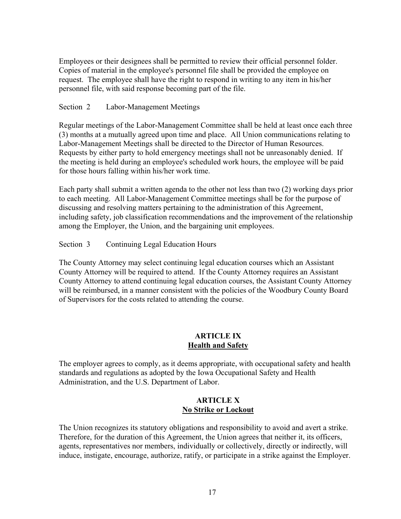Employees or their designees shall be permitted to review their official personnel folder. Copies of material in the employee's personnel file shall be provided the employee on request. The employee shall have the right to respond in writing to any item in his/her personnel file, with said response becoming part of the file.

## Section 2 Labor-Management Meetings

Regular meetings of the Labor-Management Committee shall be held at least once each three (3) months at a mutually agreed upon time and place. All Union communications relating to Labor-Management Meetings shall be directed to the Director of Human Resources. Requests by either party to hold emergency meetings shall not be unreasonably denied. If the meeting is held during an employee's scheduled work hours, the employee will be paid for those hours falling within his/her work time.

Each party shall submit a written agenda to the other not less than two (2) working days prior to each meeting. All Labor-Management Committee meetings shall be for the purpose of discussing and resolving matters pertaining to the administration of this Agreement, including safety, job classification recommendations and the improvement of the relationship among the Employer, the Union, and the bargaining unit employees.

## Section 3 Continuing Legal Education Hours

The County Attorney may select continuing legal education courses which an Assistant County Attorney will be required to attend. If the County Attorney requires an Assistant County Attorney to attend continuing legal education courses, the Assistant County Attorney will be reimbursed, in a manner consistent with the policies of the Woodbury County Board of Supervisors for the costs related to attending the course.

# **ARTICLE IX Health and Safety**

The employer agrees to comply, as it deems appropriate, with occupational safety and health standards and regulations as adopted by the Iowa Occupational Safety and Health Administration, and the U.S. Department of Labor.

## **ARTICLE X No Strike or Lockout**

The Union recognizes its statutory obligations and responsibility to avoid and avert a strike. Therefore, for the duration of this Agreement, the Union agrees that neither it, its officers, agents, representatives nor members, individually or collectively, directly or indirectly, will induce, instigate, encourage, authorize, ratify, or participate in a strike against the Employer.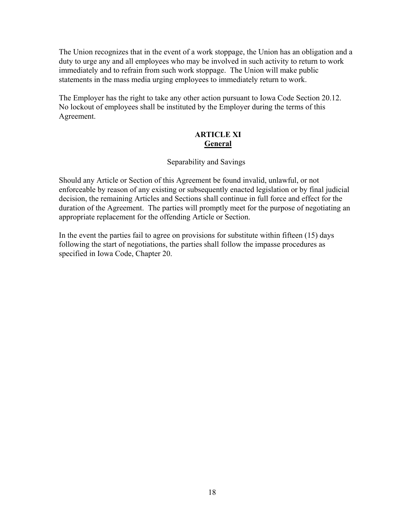The Union recognizes that in the event of a work stoppage, the Union has an obligation and a duty to urge any and all employees who may be involved in such activity to return to work immediately and to refrain from such work stoppage. The Union will make public statements in the mass media urging employees to immediately return to work.

The Employer has the right to take any other action pursuant to Iowa Code Section 20.12. No lockout of employees shall be instituted by the Employer during the terms of this Agreement.

# **ARTICLE XI General**

## Separability and Savings

Should any Article or Section of this Agreement be found invalid, unlawful, or not enforceable by reason of any existing or subsequently enacted legislation or by final judicial decision, the remaining Articles and Sections shall continue in full force and effect for the duration of the Agreement. The parties will promptly meet for the purpose of negotiating an appropriate replacement for the offending Article or Section.

In the event the parties fail to agree on provisions for substitute within fifteen (15) days following the start of negotiations, the parties shall follow the impasse procedures as specified in Iowa Code, Chapter 20.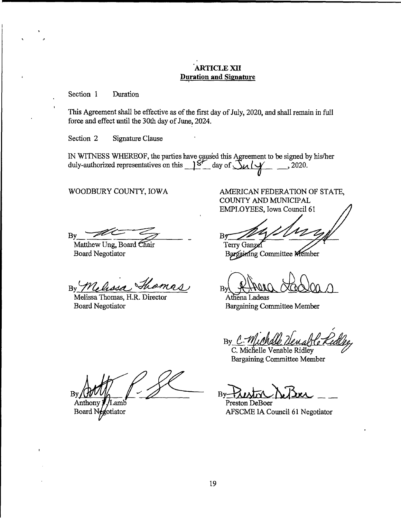## **ARTICLE XII Duration and Signature**

Section 1 Duration

ï

This Agreement shall be effective as of the first day of July, 2020, and shall remain in full force and effect until the 30th day of June, 2024.

Section 2 Signature Clause

IN WITNESS WHEREOF, the parties have caused this Agreement to be signed by his/her duly-authorized representatives on this  $\frac{S}{\sim}$  day of  $\frac{S}{\sim}$  ( $\frac{S}{\sim}$  ..., 2020.

WOODBURY COUNTY, IOWA

AMERICAN FEDERATION OF STATE, COUNTY AND MUNICIPAL EMPLOYEES, Iowa Council 61

By

Matthew Ung, Board Chair **Board Negotiator** 

By Melissa Thomas

Melissa Thomas, H.R. Director **Board Negotiator** 

By

Terry Ganzel Bargaining Committee Member

By

Athena Ladeas **Bargaining Committee Member** 

 $By$ 

C. Michelle Venable Ridley **Bargaining Committee Member** 

Preston DeBoer AFSCME IA Council 61 Negotiator

B۱ Anthony .amb

Board N egotiator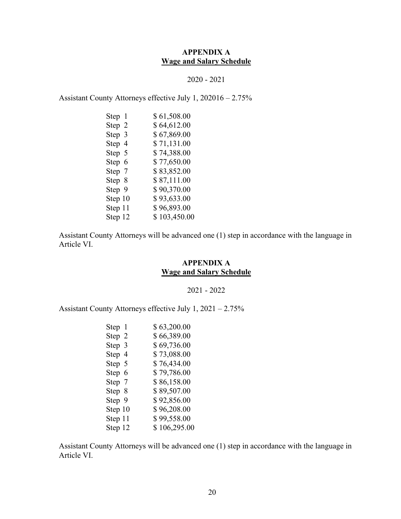# **APPENDIX A Wage and Salary Schedule**

#### 2020 - 2021

Assistant County Attorneys effective July 1, 202016 – 2.75%

| Step 1  | \$61,508.00  |
|---------|--------------|
| Step 2  | \$64,612.00  |
| Step 3  | \$67,869.00  |
| Step 4  | \$71,131.00  |
| Step 5  | \$74,388.00  |
| Step 6  | \$77,650.00  |
| Step 7  | \$83,852.00  |
| Step 8  | \$87,111.00  |
| Step 9  | \$90,370.00  |
| Step 10 | \$93,633.00  |
| Step 11 | \$96,893.00  |
| Step 12 | \$103,450.00 |

Assistant County Attorneys will be advanced one (1) step in accordance with the language in Article VI.

# **APPENDIX A Wage and Salary Schedule**

2021 - 2022

Assistant County Attorneys effective July 1, 2021 – 2.75%

| Step 1  | \$63,200.00  |
|---------|--------------|
| Step 2  | \$66,389.00  |
| Step 3  | \$69,736.00  |
| Step 4  | \$73,088.00  |
| Step 5  | \$76,434.00  |
| Step 6  | \$79,786.00  |
| Step 7  | \$86,158.00  |
| Step 8  | \$89,507.00  |
| Step 9  | \$92,856.00  |
| Step 10 | \$96,208.00  |
| Step 11 | \$99,558.00  |
| Step 12 | \$106,295.00 |

Assistant County Attorneys will be advanced one (1) step in accordance with the language in Article VI.